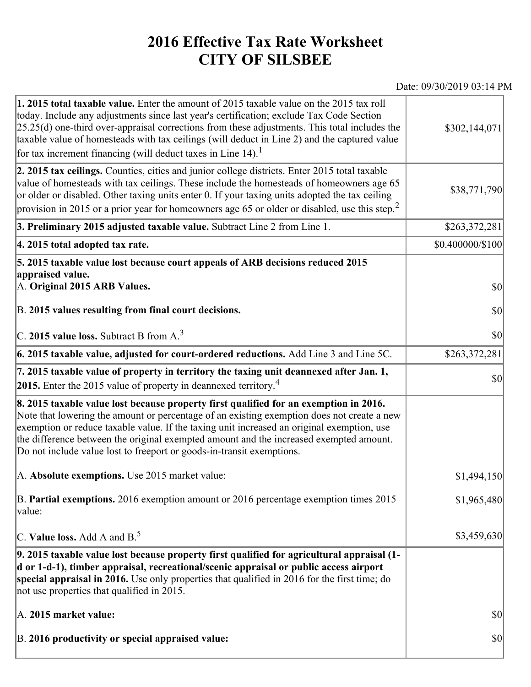## **2016 Effective Tax Rate Worksheet CITY OF SILSBEE**

## Date: 09/30/2019 03:14 PM

| 1. 2015 total taxable value. Enter the amount of 2015 taxable value on the 2015 tax roll<br>today. Include any adjustments since last year's certification; exclude Tax Code Section<br>$[25.25(d)$ one-third over-appraisal corrections from these adjustments. This total includes the<br>taxable value of homesteads with tax ceilings (will deduct in Line 2) and the captured value<br>for tax increment financing (will deduct taxes in Line $14$ ). <sup>1</sup> | \$302,144,071       |
|-------------------------------------------------------------------------------------------------------------------------------------------------------------------------------------------------------------------------------------------------------------------------------------------------------------------------------------------------------------------------------------------------------------------------------------------------------------------------|---------------------|
| 2. 2015 tax ceilings. Counties, cities and junior college districts. Enter 2015 total taxable<br>value of homesteads with tax ceilings. These include the homesteads of homeowners age 65<br>or older or disabled. Other taxing units enter 0. If your taxing units adopted the tax ceiling<br>provision in 2015 or a prior year for homeowners age 65 or older or disabled, use this step. <sup>2</sup>                                                                | \$38,771,790        |
| 3. Preliminary 2015 adjusted taxable value. Subtract Line 2 from Line 1.                                                                                                                                                                                                                                                                                                                                                                                                | \$263,372,281       |
| 4. 2015 total adopted tax rate.                                                                                                                                                                                                                                                                                                                                                                                                                                         | \$0.400000/\$100    |
| 5. 2015 taxable value lost because court appeals of ARB decisions reduced 2015<br>appraised value.<br>A. Original 2015 ARB Values.<br>B. 2015 values resulting from final court decisions.                                                                                                                                                                                                                                                                              | $ 10\rangle$<br> 30 |
|                                                                                                                                                                                                                                                                                                                                                                                                                                                                         |                     |
| C. 2015 value loss. Subtract B from $A3$                                                                                                                                                                                                                                                                                                                                                                                                                                | \$0                 |
| 6. 2015 taxable value, adjusted for court-ordered reductions. Add Line 3 and Line 5C.                                                                                                                                                                                                                                                                                                                                                                                   | \$263,372,281       |
| 7. 2015 taxable value of property in territory the taxing unit deannexed after Jan. 1,<br>2015. Enter the 2015 value of property in deannexed territory. <sup>4</sup>                                                                                                                                                                                                                                                                                                   | $ 10\rangle$        |
| 8. 2015 taxable value lost because property first qualified for an exemption in 2016.<br>Note that lowering the amount or percentage of an existing exemption does not create a new<br>exemption or reduce taxable value. If the taxing unit increased an original exemption, use<br>the difference between the original exempted amount and the increased exempted amount.<br>Do not include value lost to freeport or goods-in-transit exemptions.                    |                     |
| A. Absolute exemptions. Use 2015 market value:                                                                                                                                                                                                                                                                                                                                                                                                                          | \$1,494,150         |
| B. Partial exemptions. 2016 exemption amount or 2016 percentage exemption times 2015<br>value:                                                                                                                                                                                                                                                                                                                                                                          | \$1,965,480         |
| C. Value loss. Add A and $B^5$ .                                                                                                                                                                                                                                                                                                                                                                                                                                        | \$3,459,630         |
| 9. 2015 taxable value lost because property first qualified for agricultural appraisal (1-<br>d or 1-d-1), timber appraisal, recreational/scenic appraisal or public access airport<br>special appraisal in 2016. Use only properties that qualified in 2016 for the first time; do<br>not use properties that qualified in 2015.                                                                                                                                       |                     |
| A. 2015 market value:                                                                                                                                                                                                                                                                                                                                                                                                                                                   | $ 10\rangle$        |
| B. 2016 productivity or special appraised value:                                                                                                                                                                                                                                                                                                                                                                                                                        | $ 10\rangle$        |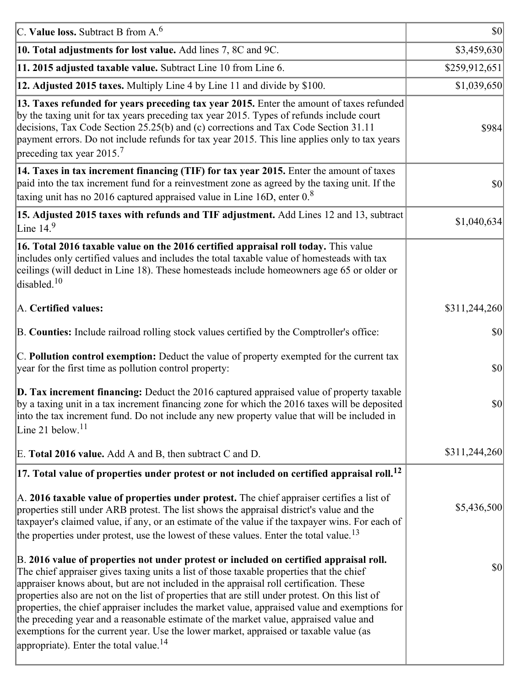| C. Value loss. Subtract B from $A6$                                                                                                                                                                                                                                                                                                                                                                                                                                                                                                                                                                                                                                                                                      | <b>\$0</b>    |
|--------------------------------------------------------------------------------------------------------------------------------------------------------------------------------------------------------------------------------------------------------------------------------------------------------------------------------------------------------------------------------------------------------------------------------------------------------------------------------------------------------------------------------------------------------------------------------------------------------------------------------------------------------------------------------------------------------------------------|---------------|
| 10. Total adjustments for lost value. Add lines 7, 8C and 9C.                                                                                                                                                                                                                                                                                                                                                                                                                                                                                                                                                                                                                                                            | \$3,459,630   |
| 11. 2015 adjusted taxable value. Subtract Line 10 from Line 6.                                                                                                                                                                                                                                                                                                                                                                                                                                                                                                                                                                                                                                                           | \$259,912,651 |
| 12. Adjusted 2015 taxes. Multiply Line 4 by Line 11 and divide by \$100.                                                                                                                                                                                                                                                                                                                                                                                                                                                                                                                                                                                                                                                 | \$1,039,650   |
| 13. Taxes refunded for years preceding tax year 2015. Enter the amount of taxes refunded<br>by the taxing unit for tax years preceding tax year 2015. Types of refunds include court<br>decisions, Tax Code Section 25.25(b) and (c) corrections and Tax Code Section 31.11<br>payment errors. Do not include refunds for tax year 2015. This line applies only to tax years<br>preceding tax year 2015. <sup>7</sup>                                                                                                                                                                                                                                                                                                    | \$984         |
| 14. Taxes in tax increment financing (TIF) for tax year 2015. Enter the amount of taxes<br>paid into the tax increment fund for a reinvestment zone as agreed by the taxing unit. If the<br>taxing unit has no 2016 captured appraised value in Line 16D, enter $0.8$                                                                                                                                                                                                                                                                                                                                                                                                                                                    | 30            |
| 15. Adjusted 2015 taxes with refunds and TIF adjustment. Add Lines 12 and 13, subtract<br>Line $149$                                                                                                                                                                                                                                                                                                                                                                                                                                                                                                                                                                                                                     | \$1,040,634   |
| 16. Total 2016 taxable value on the 2016 certified appraisal roll today. This value<br>includes only certified values and includes the total taxable value of homesteads with tax<br>ceilings (will deduct in Line 18). These homesteads include homeowners age 65 or older or<br>disabled. <sup>10</sup>                                                                                                                                                                                                                                                                                                                                                                                                                |               |
| A. Certified values:                                                                                                                                                                                                                                                                                                                                                                                                                                                                                                                                                                                                                                                                                                     | \$311,244,260 |
| B. Counties: Include railroad rolling stock values certified by the Comptroller's office:                                                                                                                                                                                                                                                                                                                                                                                                                                                                                                                                                                                                                                | \$0           |
| C. Pollution control exemption: Deduct the value of property exempted for the current tax<br>year for the first time as pollution control property:                                                                                                                                                                                                                                                                                                                                                                                                                                                                                                                                                                      | $ 10\rangle$  |
| $\vert$ D. Tax increment financing: Deduct the 2016 captured appraised value of property taxable<br>by a taxing unit in a tax increment financing zone for which the 2016 taxes will be deposited<br>into the tax increment fund. Do not include any new property value that will be included in<br>Line 21 below. $11$                                                                                                                                                                                                                                                                                                                                                                                                  | \$0           |
| E. Total 2016 value. Add A and B, then subtract C and D.                                                                                                                                                                                                                                                                                                                                                                                                                                                                                                                                                                                                                                                                 | \$311,244,260 |
| $ 17$ . Total value of properties under protest or not included on certified appraisal roll. <sup>12</sup>                                                                                                                                                                                                                                                                                                                                                                                                                                                                                                                                                                                                               |               |
| A. 2016 taxable value of properties under protest. The chief appraiser certifies a list of<br>properties still under ARB protest. The list shows the appraisal district's value and the<br>taxpayer's claimed value, if any, or an estimate of the value if the taxpayer wins. For each of<br>the properties under protest, use the lowest of these values. Enter the total value. <sup>13</sup>                                                                                                                                                                                                                                                                                                                         | \$5,436,500   |
| B. 2016 value of properties not under protest or included on certified appraisal roll.<br>The chief appraiser gives taxing units a list of those taxable properties that the chief<br>appraiser knows about, but are not included in the appraisal roll certification. These<br>properties also are not on the list of properties that are still under protest. On this list of<br>properties, the chief appraiser includes the market value, appraised value and exemptions for<br>the preceding year and a reasonable estimate of the market value, appraised value and<br>exemptions for the current year. Use the lower market, appraised or taxable value (as<br>appropriate). Enter the total value. <sup>14</sup> | \$0           |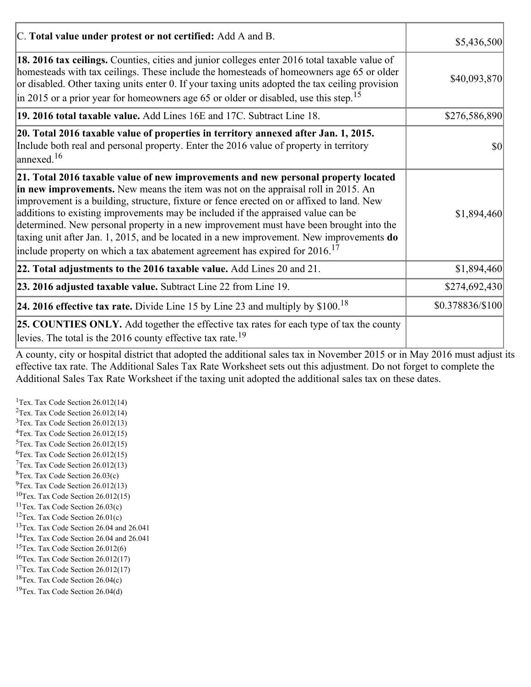| C. Total value under protest or not certified: Add A and B.                                                                                                                                                                                                                                                                                                                                                                                                                                                                                                                                                                                  | \$5,436,500                         |  |
|----------------------------------------------------------------------------------------------------------------------------------------------------------------------------------------------------------------------------------------------------------------------------------------------------------------------------------------------------------------------------------------------------------------------------------------------------------------------------------------------------------------------------------------------------------------------------------------------------------------------------------------------|-------------------------------------|--|
| 18. 2016 tax ceilings. Counties, cities and junior colleges enter 2016 total taxable value of<br>homesteads with tax ceilings. These include the homesteads of homeowners age 65 or older<br>or disabled. Other taxing units enter 0. If your taxing units adopted the tax ceiling provision<br>$\vert$ in 2015 or a prior year for homeowners age 65 or older or disabled, use this step. <sup>15</sup>                                                                                                                                                                                                                                     | \$40,093,870                        |  |
| 19. 2016 total taxable value. Add Lines 16E and 17C. Subtract Line 18.                                                                                                                                                                                                                                                                                                                                                                                                                                                                                                                                                                       | \$276,586,890                       |  |
| 20. Total 2016 taxable value of properties in territory annexed after Jan. 1, 2015.<br>Include both real and personal property. Enter the 2016 value of property in territory<br>$\frac{16}{2}$                                                                                                                                                                                                                                                                                                                                                                                                                                              | $\vert \mathbf{S} \mathbf{0} \vert$ |  |
| 21. Total 2016 taxable value of new improvements and new personal property located<br>in new improvements. New means the item was not on the appraisal roll in 2015. An<br>improvement is a building, structure, fixture or fence erected on or affixed to land. New<br>additions to existing improvements may be included if the appraised value can be<br>determined. New personal property in a new improvement must have been brought into the<br>taxing unit after Jan. 1, 2015, and be located in a new improvement. New improvements do<br>include property on which a tax abatement agreement has expired for $2016$ . <sup>17</sup> | \$1,894,460                         |  |
| 22. Total adjustments to the 2016 taxable value. Add Lines 20 and 21.                                                                                                                                                                                                                                                                                                                                                                                                                                                                                                                                                                        | \$1,894,460                         |  |
| 23. 2016 adjusted taxable value. Subtract Line 22 from Line 19.                                                                                                                                                                                                                                                                                                                                                                                                                                                                                                                                                                              | \$274,692,430                       |  |
| <b>24. 2016 effective tax rate.</b> Divide Line 15 by Line 23 and multiply by $$100$ . <sup>18</sup>                                                                                                                                                                                                                                                                                                                                                                                                                                                                                                                                         | \$0.378836/\$100                    |  |
| <b>25. COUNTIES ONLY.</b> Add together the effective tax rates for each type of tax the county<br>levies. The total is the 2016 county effective tax rate. <sup>19</sup>                                                                                                                                                                                                                                                                                                                                                                                                                                                                     |                                     |  |

A county, city or hospital district that adopted the additional sales tax in November 2015 or in May 2016 must adjust its effective tax rate. The Additional Sales Tax Rate Worksheet sets out this adjustment. Do not forget to complete the Additional Sales Tax Rate Worksheet if the taxing unit adopted the additional sales tax on these dates.

<sup>1</sup>Tex. Tax Code Section  $26.012(14)$ <sup>2</sup>Tex. Tax Code Section  $26.012(14)$  $3$ Tex. Tax Code Section 26.012(13)  ${}^{4}$ Tex. Tax Code Section 26.012(15)  $5$ Tex. Tax Code Section 26.012(15)  ${}^{6}$ Tex. Tax Code Section 26.012(15)  $7$ Tex. Tax Code Section 26.012(13)  ${}^{8}$ Tex. Tax Code Section 26.03(c)  $^{9}$ Tex. Tax Code Section 26.012(13)  $10$ Tex. Tax Code Section 26.012(15) <sup>11</sup>Tex. Tax Code Section  $26.03(c)$ <sup>12</sup>Tex. Tax Code Section  $26.01(c)$ <sup>13</sup>Tex. Tax Code Section 26.04 and 26.041 <sup>14</sup>Tex. Tax Code Section 26.04 and 26.041 <sup>15</sup>Tex. Tax Code Section  $26.012(6)$  $16$ Tex. Tax Code Section 26.012(17) <sup>17</sup>Tex. Tax Code Section  $26.012(17)$ <sup>18</sup>Tex. Tax Code Section 26.04(c) <sup>19</sup>Tex. Tax Code Section 26.04(d)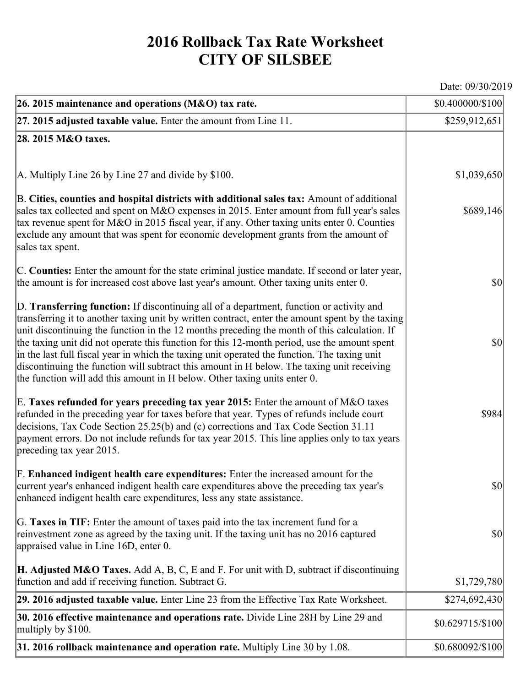## **2016 Rollback Tax Rate Worksheet CITY OF SILSBEE**

Date: 09/30/2019

| 26. 2015 maintenance and operations (M&O) tax rate.                                                                                                                                                                                                                                                                                                                                                                                                                                                                                                                                                                                                                     | \$0.400000/\$100                    |
|-------------------------------------------------------------------------------------------------------------------------------------------------------------------------------------------------------------------------------------------------------------------------------------------------------------------------------------------------------------------------------------------------------------------------------------------------------------------------------------------------------------------------------------------------------------------------------------------------------------------------------------------------------------------------|-------------------------------------|
| $ 27.2015$ adjusted taxable value. Enter the amount from Line 11.                                                                                                                                                                                                                                                                                                                                                                                                                                                                                                                                                                                                       | \$259,912,651                       |
| 28. 2015 M&O taxes.                                                                                                                                                                                                                                                                                                                                                                                                                                                                                                                                                                                                                                                     |                                     |
|                                                                                                                                                                                                                                                                                                                                                                                                                                                                                                                                                                                                                                                                         |                                     |
| A. Multiply Line 26 by Line 27 and divide by \$100.                                                                                                                                                                                                                                                                                                                                                                                                                                                                                                                                                                                                                     | \$1,039,650                         |
| B. Cities, counties and hospital districts with additional sales tax: Amount of additional<br>sales tax collected and spent on M&O expenses in 2015. Enter amount from full year's sales<br>tax revenue spent for M&O in 2015 fiscal year, if any. Other taxing units enter 0. Counties<br>exclude any amount that was spent for economic development grants from the amount of<br>sales tax spent.                                                                                                                                                                                                                                                                     | \$689,146                           |
| C. Counties: Enter the amount for the state criminal justice mandate. If second or later year,<br>the amount is for increased cost above last year's amount. Other taxing units enter 0.                                                                                                                                                                                                                                                                                                                                                                                                                                                                                | $ 10\rangle$                        |
| D. Transferring function: If discontinuing all of a department, function or activity and<br>transferring it to another taxing unit by written contract, enter the amount spent by the taxing<br>unit discontinuing the function in the 12 months preceding the month of this calculation. If<br>the taxing unit did not operate this function for this 12-month period, use the amount spent<br>in the last full fiscal year in which the taxing unit operated the function. The taxing unit<br>discontinuing the function will subtract this amount in H below. The taxing unit receiving<br>the function will add this amount in H below. Other taxing units enter 0. | $ 10\rangle$                        |
| E. Taxes refunded for years preceding tax year 2015: Enter the amount of M&O taxes<br>refunded in the preceding year for taxes before that year. Types of refunds include court<br>decisions, Tax Code Section 25.25(b) and (c) corrections and Tax Code Section 31.11<br>payment errors. Do not include refunds for tax year 2015. This line applies only to tax years<br>preceding tax year 2015.                                                                                                                                                                                                                                                                     | \$984                               |
| F. Enhanced indigent health care expenditures: Enter the increased amount for the<br>current year's enhanced indigent health care expenditures above the preceding tax year's<br>enhanced indigent health care expenditures, less any state assistance.                                                                                                                                                                                                                                                                                                                                                                                                                 | $\vert \mathbf{S} \mathbf{0} \vert$ |
| G. Taxes in TIF: Enter the amount of taxes paid into the tax increment fund for a<br>reinvestment zone as agreed by the taxing unit. If the taxing unit has no 2016 captured<br>appraised value in Line 16D, enter 0.                                                                                                                                                                                                                                                                                                                                                                                                                                                   | $ 10\rangle$                        |
| <b>H. Adjusted M&amp;O Taxes.</b> Add A, B, C, E and F. For unit with D, subtract if discontinuing<br>function and add if receiving function. Subtract G.                                                                                                                                                                                                                                                                                                                                                                                                                                                                                                               | \$1,729,780                         |
| 29. 2016 adjusted taxable value. Enter Line 23 from the Effective Tax Rate Worksheet.                                                                                                                                                                                                                                                                                                                                                                                                                                                                                                                                                                                   | \$274,692,430                       |
| 30. 2016 effective maintenance and operations rate. Divide Line 28H by Line 29 and<br>multiply by \$100.                                                                                                                                                                                                                                                                                                                                                                                                                                                                                                                                                                | \$0.629715/\$100                    |
| $31.2016$ rollback maintenance and operation rate. Multiply Line 30 by 1.08.                                                                                                                                                                                                                                                                                                                                                                                                                                                                                                                                                                                            | \$0.680092/\$100                    |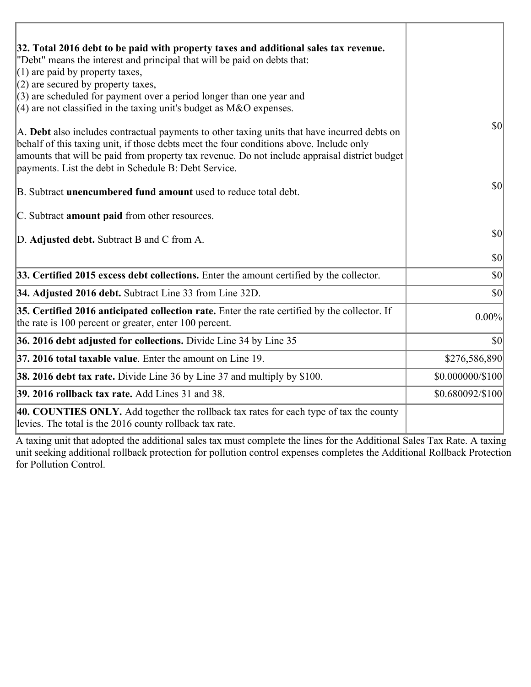| 32. Total 2016 debt to be paid with property taxes and additional sales tax revenue.                                                                                                                                                                                                                                                             |                    |
|--------------------------------------------------------------------------------------------------------------------------------------------------------------------------------------------------------------------------------------------------------------------------------------------------------------------------------------------------|--------------------|
| "Debt" means the interest and principal that will be paid on debts that:                                                                                                                                                                                                                                                                         |                    |
| $(1)$ are paid by property taxes,                                                                                                                                                                                                                                                                                                                |                    |
| $(2)$ are secured by property taxes,<br>$(3)$ are scheduled for payment over a period longer than one year and                                                                                                                                                                                                                                   |                    |
| $(4)$ are not classified in the taxing unit's budget as M&O expenses.                                                                                                                                                                                                                                                                            |                    |
| A. Debt also includes contractual payments to other taxing units that have incurred debts on<br>behalf of this taxing unit, if those debts meet the four conditions above. Include only<br>amounts that will be paid from property tax revenue. Do not include appraisal district budget<br>payments. List the debt in Schedule B: Debt Service. | $\vert$ so $\vert$ |
| B. Subtract <b>unencumbered fund amount</b> used to reduce total debt.                                                                                                                                                                                                                                                                           | $ 10\rangle$       |
| C. Subtract <b>amount paid</b> from other resources.                                                                                                                                                                                                                                                                                             |                    |
| D. Adjusted debt. Subtract B and C from A.                                                                                                                                                                                                                                                                                                       | $ 10\rangle$       |
|                                                                                                                                                                                                                                                                                                                                                  | \$0                |
| 33. Certified 2015 excess debt collections. Enter the amount certified by the collector.                                                                                                                                                                                                                                                         | $ 10\rangle$       |
| 34. Adjusted 2016 debt. Subtract Line 33 from Line 32D.                                                                                                                                                                                                                                                                                          | $ 10\rangle$       |
| 35. Certified 2016 anticipated collection rate. Enter the rate certified by the collector. If<br>the rate is 100 percent or greater, enter 100 percent.                                                                                                                                                                                          | 0.00%              |
| 36. 2016 debt adjusted for collections. Divide Line 34 by Line 35                                                                                                                                                                                                                                                                                | $ 10\rangle$       |
| $ 37, 2016$ total taxable value. Enter the amount on Line 19.                                                                                                                                                                                                                                                                                    | \$276,586,890      |
| <b>38. 2016 debt tax rate.</b> Divide Line 36 by Line 37 and multiply by \$100.                                                                                                                                                                                                                                                                  | \$0.000000/\$100   |
| <b>39. 2016 rollback tax rate.</b> Add Lines 31 and 38.                                                                                                                                                                                                                                                                                          | \$0.680092/\$100   |
| 40. COUNTIES ONLY. Add together the rollback tax rates for each type of tax the county<br>levies. The total is the 2016 county rollback tax rate.                                                                                                                                                                                                |                    |

Ï

A taxing unit that adopted the additional sales tax must complete the lines for the Additional Sales Tax Rate. A taxing unit seeking additional rollback protection for pollution control expenses completes the Additional Rollback Protection for Pollution Control.